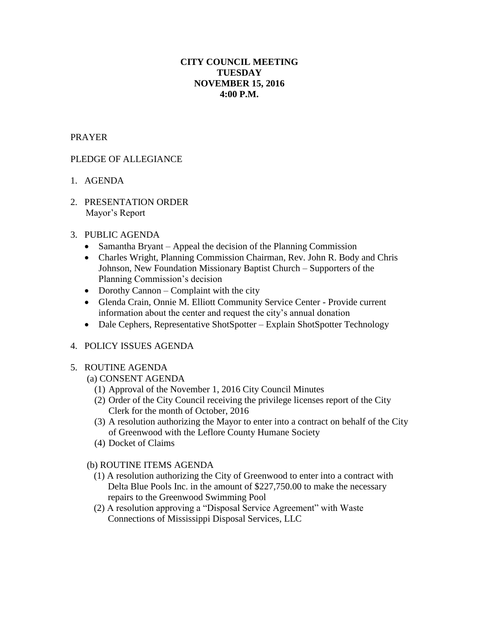## **CITY COUNCIL MEETING TUESDAY NOVEMBER 15, 2016 4:00 P.M.**

#### PRAYER

# PLEDGE OF ALLEGIANCE

- 1. AGENDA
- 2. PRESENTATION ORDER Mayor's Report

## 3. PUBLIC AGENDA

- Samantha Bryant Appeal the decision of the Planning Commission
- Charles Wright, Planning Commission Chairman, Rev. John R. Body and Chris Johnson, New Foundation Missionary Baptist Church – Supporters of the Planning Commission's decision
- Dorothy Cannon Complaint with the city
- Glenda Crain, Onnie M. Elliott Community Service Center Provide current information about the center and request the city's annual donation
- Dale Cephers, Representative ShotSpotter Explain ShotSpotter Technology

## 4. POLICY ISSUES AGENDA

#### 5. ROUTINE AGENDA

- (a) CONSENT AGENDA
	- (1) Approval of the November 1, 2016 City Council Minutes
	- (2) Order of the City Council receiving the privilege licenses report of the City Clerk for the month of October, 2016
	- (3) A resolution authorizing the Mayor to enter into a contract on behalf of the City of Greenwood with the Leflore County Humane Society
	- (4) Docket of Claims

# (b) ROUTINE ITEMS AGENDA

- (1) A resolution authorizing the City of Greenwood to enter into a contract with Delta Blue Pools Inc. in the amount of \$227,750.00 to make the necessary repairs to the Greenwood Swimming Pool
- (2) A resolution approving a "Disposal Service Agreement" with Waste Connections of Mississippi Disposal Services, LLC